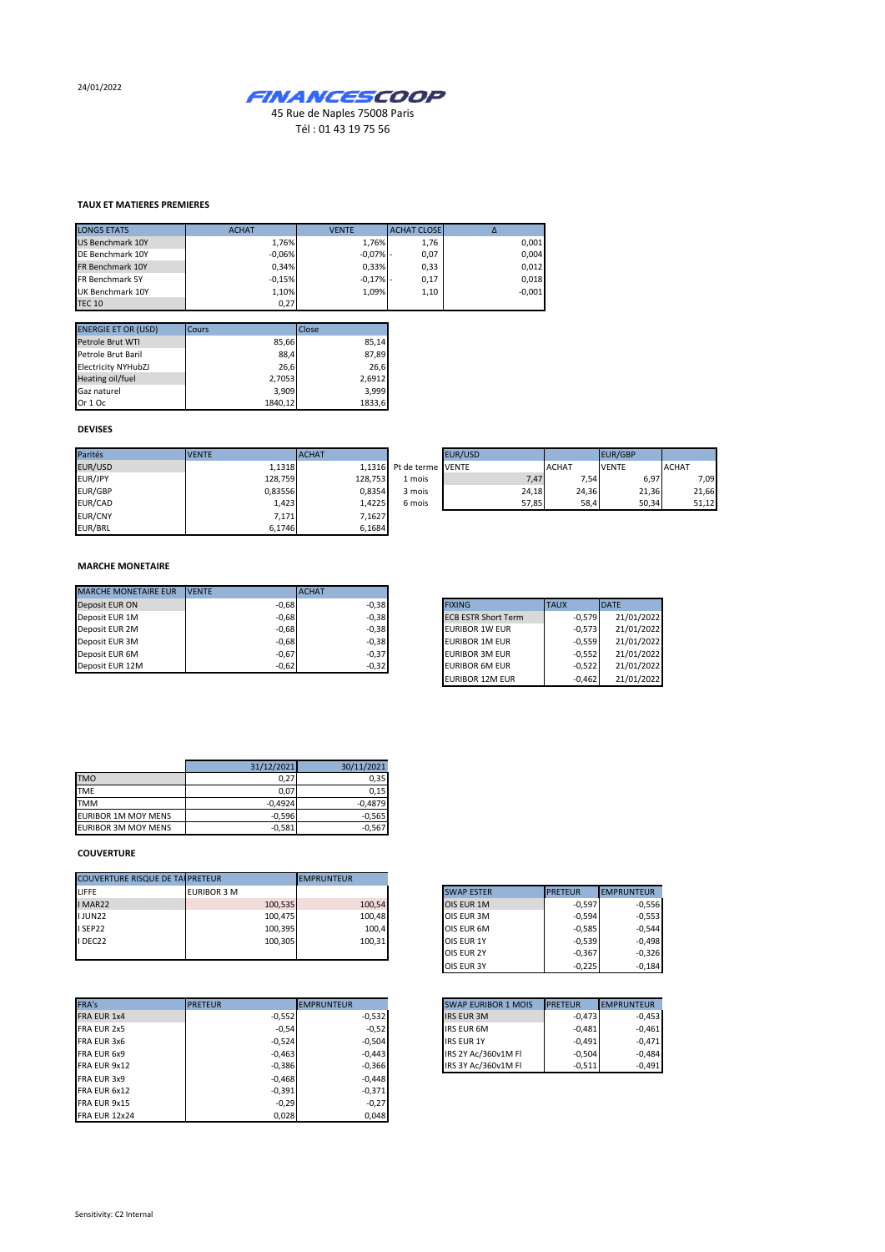24/01/2022



## **TAUX ET MATIERES PREMIERES**

| <b>LONGS ETATS</b>     | <b>ACHAT</b> | <b>VENTE</b> | <b>ACHAT CLOSE</b> |          |
|------------------------|--------------|--------------|--------------------|----------|
| US Benchmark 10Y       | 1,76%        | 1.76%        | 1,76               | 0,001    |
| DE Benchmark 10Y       | $-0.06%$     | $-0.07% -$   | 0,07               | 0,004    |
| FR Benchmark 10Y       | 0.34%        | 0.33%        | 0,33               | 0,012    |
| <b>FR Benchmark 5Y</b> | $-0.15%$     | $-0.17% -$   | 0,17               | 0.018    |
| UK Benchmark 10Y       | 1,10%        | 1.09%        | 1,10               | $-0,001$ |
| <b>TEC 10</b>          | 0,27         |              |                    |          |

| <b>ENERGIE ET OR (USD)</b> | Cours   | Close  |
|----------------------------|---------|--------|
| Petrole Brut WTI           | 85,66   | 85,14  |
| Petrole Brut Baril         | 88,4    | 87,89  |
| <b>Electricity NYHubZJ</b> | 26,6    | 26,6   |
| Heating oil/fuel           | 2,7053  | 2,6912 |
| Gaz naturel                | 3,909   | 3.999  |
| Or 1 Oc                    | 1840,12 | 1833,6 |

## **DEVISES**

| Parités        | <b>IVENTE</b> | <b>ACHAT</b> |                          | EUR/USD |              | <b>EUR/GBP</b> |              |
|----------------|---------------|--------------|--------------------------|---------|--------------|----------------|--------------|
| EUR/USD        | 1.1318        |              | 1.1316 Pt de terme VENTE |         | <b>ACHAT</b> | <b>VENTE</b>   | <b>ACHAT</b> |
| EUR/JPY        | 128,759       | 128,753      | 1 mois                   | 7,47    | 7,54         | 6,97           | 7,09         |
| EUR/GBP        | 0,83556       | 0,8354       | 3 mois                   | 24.18   | 24,36        | 21,36          | 21,66        |
| EUR/CAD        | 1,423         | 1,4225       | 6 mois                   | 57,85   | 58,4         | 50.34          | 51,12        |
| <b>EUR/CNY</b> | 7,171         | 7,1627       |                          |         |              |                |              |
| EUR/BRL        | 6,1746        | 6,1684       |                          |         |              |                |              |

## **MARCHE MONETAIRE**

| <b>MARCHE MONETAIRE EUR</b> | <b>IVENTE</b> | <b>ACHAT</b> |                            |             |              |
|-----------------------------|---------------|--------------|----------------------------|-------------|--------------|
| Deposit EUR ON              | $-0,68$       | $-0.38$      | <b>FIXING</b>              | <b>TAUX</b> | <b>IDATE</b> |
| Deposit EUR 1M              | $-0,68$       | $-0.38$      | <b>ECB ESTR Short Term</b> | $-0.579$    | 21/01/2022   |
| Deposit EUR 2M              | $-0,68$       | $-0.38$      | <b>EURIBOR 1W EUR</b>      | $-0.573$    | 21/01/2022   |
| Deposit EUR 3M              | $-0,68$       | $-0,38$      | EURIBOR 1M EUR             | $-0.559$    | 21/01/2022   |
| Deposit EUR 6M              | $-0,67$       | $-0,37$      | <b>EURIBOR 3M EUR</b>      | $-0.552$    | 21/01/2022   |
| Deposit EUR 12M             | $-0,62$       | $-0,32$      | <b>EURIBOR 6M EUR</b>      | $-0.522$    | 21/01/2022   |

| <b>FIXING</b>              | <b>TAUX</b> | <b>DATE</b> |
|----------------------------|-------------|-------------|
| <b>ECB ESTR Short Term</b> | $-0.579$    | 21/01/2022  |
| <b>EURIBOR 1W EUR</b>      | $-0.573$    | 21/01/2022  |
| <b>EURIBOR 1M EUR</b>      | $-0.559$    | 21/01/2022  |
| <b>EURIBOR 3M EUR</b>      | $-0.552$    | 21/01/2022  |
| <b>EURIBOR 6M EUR</b>      | $-0.522$    | 21/01/2022  |
| <b>EURIBOR 12M EUR</b>     | $-0.462$    | 21/01/2022  |

|                            | 31/12/2021 | 30/11/2021 |
|----------------------------|------------|------------|
| <b>TMO</b>                 | 0.27       | 0.35       |
| <b>TME</b>                 | 0.07       | 0.15       |
| <b>TMM</b>                 | $-0.4924$  | $-0.4879$  |
| <b>EURIBOR 1M MOY MENS</b> | $-0,596$   | $-0,565$   |
| <b>EURIBOR 3M MOY MENS</b> | $-0,581$   | $-0,567$   |

## **COUVERTURE**

| <b>COUVERTURE RISQUE DE TAI PRETEUR</b> |                    | <b>EMPRUNTEUR</b> |                   |                |
|-----------------------------------------|--------------------|-------------------|-------------------|----------------|
| LIFFE                                   | <b>EURIBOR 3 M</b> |                   | <b>SWAP ESTER</b> | <b>PRETEUR</b> |
| I MAR22                                 | 100,535            | 100,54            | OIS EUR 1M        | $-0.597$       |
| <b>IJUN22</b>                           | 100,475            | 100,48            | OIS EUR 3M        | $-0.594$       |
| I SEP22                                 | 100,395            | 100,4             | OIS EUR 6M        | $-0.585$       |
| I DEC22                                 | 100,305            | 100,31            | OIS EUR 1Y        | $-0.539$       |
|                                         |                    |                   | OIS EUR 2Y        | $-0,367$       |

| FRA's                | <b>PRETEUR</b> |          | <b>EMPRUNTEUR</b> | <b>SWAP EURIBOR 1 MOIS</b> | <b>PRETEUR</b> |
|----------------------|----------------|----------|-------------------|----------------------------|----------------|
| <b>FRA EUR 1x4</b>   |                | $-0,552$ | $-0,532$          | <b>IRS EUR 3M</b>          | $-0,473$       |
| FRA EUR 2x5          |                | $-0,54$  | $-0.52$           | <b>IRS EUR 6M</b>          | $-0,481$       |
| FRA EUR 3x6          |                | $-0,524$ | $-0,504$          | <b>IRS EUR 1Y</b>          | $-0.491$       |
| FRA EUR 6x9          |                | $-0,463$ | $-0,443$          | IRS 2Y Ac/360v1M FI        | $-0,504$       |
| FRA EUR 9x12         |                | $-0,386$ | $-0,366$          | IRS 3Y Ac/360v1M FI        | $-0,511$       |
| FRA EUR 3x9          |                | $-0,468$ | $-0.448$          |                            |                |
| FRA EUR 6x12         |                | $-0,391$ | $-0,371$          |                            |                |
| FRA EUR 9x15         |                | $-0,29$  | $-0,27$           |                            |                |
| <b>FRA EUR 12x24</b> |                | 0,028    | 0.048             |                            |                |
|                      |                |          |                   |                            |                |

| <b>SWAP ESTER</b> | <b>PRETEUR</b> | <b>EMPRUNTEUR</b> |
|-------------------|----------------|-------------------|
| OIS EUR 1M        | $-0.597$       | $-0,556$          |
| OIS EUR 3M        | $-0.594$       | $-0,553$          |
| OIS EUR 6M        | $-0.585$       | $-0,544$          |
| OIS EUR 1Y        | $-0.539$       | $-0.498$          |
| OIS EUR 2Y        | $-0.367$       | $-0.326$          |
| OIS EUR 3Y        | $-0.225$       | $-0,184$          |

| <b>SWAP EURIBOR 1 MOIS</b> | <b>PRETEUR</b> | <b>EMPRUNTEUR</b> |
|----------------------------|----------------|-------------------|
| <b>IRS EUR 3M</b>          | $-0,473$       | $-0,453$          |
| <b>IRS EUR 6M</b>          | $-0.481$       | $-0,461$          |
| <b>IRS EUR 1Y</b>          | $-0.491$       | $-0,471$          |
| IRS 2Y Ac/360v1M Fl        | $-0.504$       | $-0.484$          |
| IRS 3Y Ac/360v1M Fl        | $-0,511$       | $-0,491$          |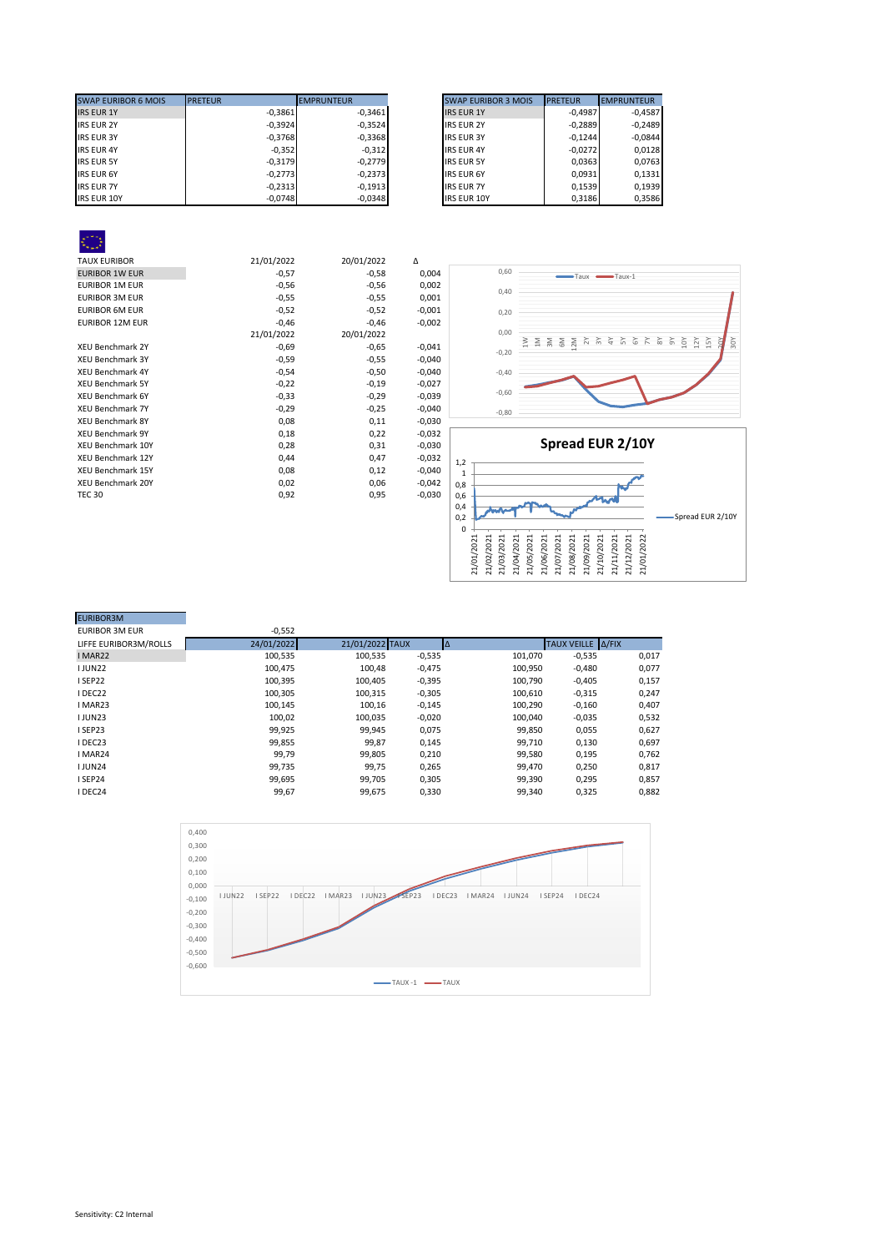| <b>SWAP EURIBOR 6 MOIS</b> | <b>PRETEUR</b> | <b>EMPRUNTEUR</b> | <b>SWAP EURIBOR 3 MOIS</b> | <b>PRETEUR</b> | <b>EMPRUNTEUR</b> |
|----------------------------|----------------|-------------------|----------------------------|----------------|-------------------|
| <b>IRS EUR 1Y</b>          | $-0.3861$      | $-0.3461$         | <b>IRS EUR 1Y</b>          | $-0.4987$      | $-0.4587$         |
| <b>IRS EUR 2Y</b>          | $-0,3924$      | $-0,3524$         | <b>IRS EUR 2Y</b>          | $-0,2889$      | $-0,2489$         |
| <b>IRS EUR 3Y</b>          | $-0,3768$      | $-0,3368$         | <b>IRS EUR 3Y</b>          | $-0.1244$      | $-0.0844$         |
| <b>IRS EUR 4Y</b>          | $-0,352$       | $-0,312$          | <b>IRS EUR 4Y</b>          | $-0.0272$      |                   |
| <b>IRS EUR 5Y</b>          | $-0,3179$      | $-0.2779$         | <b>IRS EUR 5Y</b>          | 0,0363         |                   |
| <b>IRS EUR 6Y</b>          | $-0.2773$      | $-0.2373$         | <b>IRS EUR 6Y</b>          | 0.0931         |                   |
| <b>IRS EUR 7Y</b>          | $-0.2313$      | $-0.1913$         | <b>IRS EUR 7Y</b>          | 0.1539         |                   |
| <b>IRS EUR 10Y</b>         | $-0,0748$      | $-0,0348$         | <b>IRS EUR 10Y</b>         | 0,3186         |                   |

| <b>SWAP EURIBOR 3 MOIS</b> | <b>PRETEUR</b> | <b>EMPRUNTEUR</b> |
|----------------------------|----------------|-------------------|
| <b>IRS EUR 1Y</b>          | $-0.4987$      | $-0.4587$         |
| <b>IRS EUR 2Y</b>          | $-0,2889$      | $-0.2489$         |
| <b>IRS EUR 3Y</b>          | $-0.1244$      | $-0.0844$         |
| <b>IRS EUR 4Y</b>          | $-0,0272$      | 0.0128            |
| <b>IRS EUR 5Y</b>          | 0,0363         | 0.0763            |
| <b>IRS EUR 6Y</b>          | 0,0931         | 0.1331            |
| <b>IRS EUR 7Y</b>          | 0.1539         | 0.1939            |
| <b>IRS EUR 10Y</b>         | 0.3186         | 0.3586            |

| <b>TAUX EURIBOR</b>      | 21/01/2022 | 20/01/2022 | Δ        |
|--------------------------|------------|------------|----------|
| <b>EURIBOR 1W EUR</b>    | $-0,57$    | $-0,58$    | 0,004    |
| <b>EURIBOR 1M EUR</b>    | $-0,56$    | $-0,56$    | 0,002    |
| <b>EURIBOR 3M EUR</b>    | $-0,55$    | $-0,55$    | 0,001    |
| <b>EURIBOR 6M EUR</b>    | $-0,52$    | $-0,52$    | $-0,001$ |
| <b>EURIBOR 12M EUR</b>   | $-0,46$    | $-0,46$    | $-0,002$ |
|                          | 21/01/2022 | 20/01/2022 |          |
| <b>XEU Benchmark 2Y</b>  | $-0,69$    | $-0,65$    | $-0,041$ |
| <b>XEU Benchmark 3Y</b>  | $-0,59$    | $-0,55$    | $-0,040$ |
| <b>XEU Benchmark 4Y</b>  | $-0,54$    | $-0,50$    | $-0,040$ |
| <b>XEU Benchmark 5Y</b>  | $-0,22$    | $-0,19$    | $-0,027$ |
| <b>XEU Benchmark 6Y</b>  | $-0,33$    | $-0,29$    | $-0,039$ |
| <b>XEU Benchmark 7Y</b>  | $-0,29$    | $-0,25$    | $-0,040$ |
| <b>XEU Benchmark 8Y</b>  | 0,08       | 0,11       | $-0,030$ |
| <b>XEU Benchmark 9Y</b>  | 0,18       | 0,22       | $-0,032$ |
| <b>XEU Benchmark 10Y</b> | 0,28       | 0,31       | $-0,030$ |
| XEU Benchmark 12Y        | 0,44       | 0,47       | $-0,032$ |
| <b>XEU Benchmark 15Y</b> | 0,08       | 0,12       | $-0,040$ |
| XEU Benchmark 20Y        | 0,02       | 0,06       | $-0,042$ |
| <b>TEC 30</b>            | 0,92       | 0,95       | $-0,030$ |
|                          |            |            |          |





| <b>EURIBOR3M</b>      |            |                 |          |         |                   |       |
|-----------------------|------------|-----------------|----------|---------|-------------------|-------|
| <b>EURIBOR 3M EUR</b> | $-0,552$   |                 |          |         |                   |       |
| LIFFE EURIBOR3M/ROLLS | 24/01/2022 | 21/01/2022 TAUX |          |         | TAUX VEILLE A/FIX |       |
| I MAR22               | 100,535    | 100,535         | $-0,535$ | 101,070 | $-0,535$          | 0,017 |
| <b>IJUN22</b>         | 100,475    | 100,48          | $-0,475$ | 100,950 | $-0,480$          | 0,077 |
| ISEP22                | 100,395    | 100,405         | $-0,395$ | 100,790 | $-0,405$          | 0,157 |
| I DEC22               | 100,305    | 100,315         | $-0,305$ | 100,610 | $-0,315$          | 0,247 |
| I MAR23               | 100,145    | 100,16          | $-0,145$ | 100,290 | $-0,160$          | 0,407 |
| <b>IJUN23</b>         | 100,02     | 100,035         | $-0,020$ | 100,040 | $-0,035$          | 0,532 |
| ISEP23                | 99,925     | 99,945          | 0,075    | 99,850  | 0,055             | 0,627 |
| I DEC23               | 99,855     | 99,87           | 0,145    | 99,710  | 0,130             | 0,697 |
| I MAR24               | 99,79      | 99,805          | 0,210    | 99,580  | 0,195             | 0,762 |
| <b>IJUN24</b>         | 99.735     | 99,75           | 0,265    | 99.470  | 0,250             | 0,817 |
| ISEP24                | 99,695     | 99.705          | 0,305    | 99,390  | 0,295             | 0,857 |
| I DEC24               | 99,67      | 99,675          | 0,330    | 99,340  | 0,325             | 0,882 |